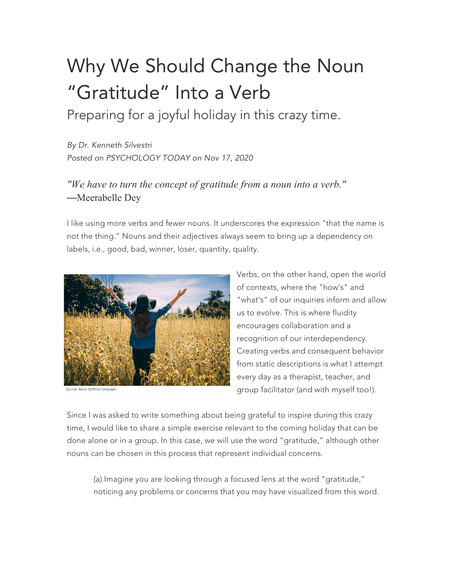## Why We Should Change the Noun "Gratitude" Into a Verb

Preparing for a joyful holiday in this crazy time.

*By Dr. Kenneth Silvestri Posted on PSYCHOLOGY TODAY on Nov 17, 2020*

## *"We have to turn the concept of gratitude from a noun into a verb."* —Meerabelle Dey

I like using more verbs and fewer nouns. It underscores the expression "that the name is not the thing." Nouns and their adjectives always seem to bring up a dependency on labels, i.e., good, bad, winner, loser, quantity, quality.



Verbs, on the other hand, open the world of contexts, where the "how's" and "what's" of our inquiries inform and allow us to evolve. This is where fluidity encourages collaboration and a recognition of our interdependency. Creating verbs and consequent behavior from static descriptions is what I attempt every day as a therapist, teacher, and group facilitator (and with myself too!).

Since I was asked to write something about being grateful to inspire during this crazy time, I would like to share a simple exercise relevant to the coming holiday that can be done alone or in a group. In this case, we will use the word "gratitude," although other nouns can be chosen in this process that represent individual concerns.

(a) Imagine you are looking through a focused lens at the word "gratitude," noticing any problems or concerns that you may have visualized from this word.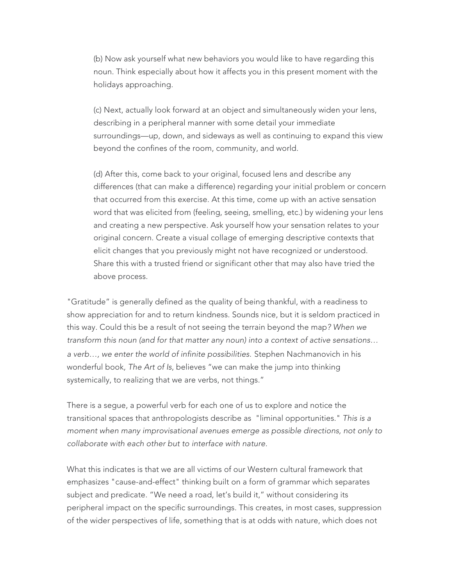(b) Now ask yourself what new behaviors you would like to have regarding this noun. Think especially about how it affects you in this present moment with the holidays approaching.

(c) Next, actually look forward at an object and simultaneously widen your lens, describing in a peripheral manner with some detail your immediate surroundings—up, down, and sideways as well as continuing to expand this view beyond the confines of the room, community, and world.

(d) After this, come back to your original, focused lens and describe any differences (that can make a difference) regarding your initial problem or concern that occurred from this exercise. At this time, come up with an active sensation word that was elicited from (feeling, seeing, smelling, etc.) by widening your lens and creating a new perspective. Ask yourself how your sensation relates to your original concern. Create a visual collage of emerging descriptive contexts that elicit changes that you previously might not have recognized or understood. Share this with a trusted friend or significant other that may also have tried the above process.

"Gratitude" is generally defined as the quality of being thankful, with a readiness to show appreciation for and to return kindness. Sounds nice, but it is seldom practiced in this way. Could this be a result of not seeing the terrain beyond the map*? When we transform this noun (and for that matter any noun) into a context of active sensations… a verb…, we enter the world of infinite possibilities.* Stephen Nachmanovich in his wonderful book*, The Art of Is*, believes "we can make the jump into thinking systemically, to realizing that we are verbs, not things."

There is a segue, a powerful verb for each one of us to explore and notice the transitional spaces that anthropologists describe as "liminal opportunities." *This is a moment when many improvisational avenues emerge as possible directions, not only to collaborate with each other but to interface with nature.*

What this indicates is that we are all victims of our Western cultural framework that emphasizes "cause-and-effect" thinking built on a form of grammar which separates subject and predicate. "We need a road, let's build it," without considering its peripheral impact on the specific surroundings. This creates, in most cases, suppression of the wider perspectives of life, something that is at odds with nature, which does not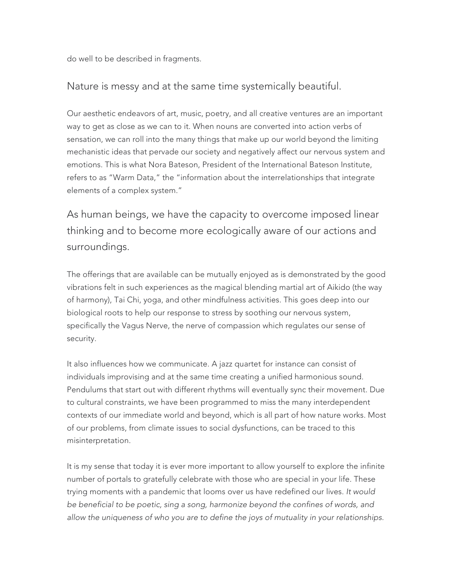do well to be described in fragments.

## Nature is messy and at the same time systemically beautiful.

Our aesthetic endeavors of art, music, poetry, and all creative ventures are an important way to get as close as we can to it. When nouns are converted into action verbs of sensation, we can roll into the many things that make up our world beyond the limiting mechanistic ideas that pervade our society and negatively affect our nervous system and emotions. This is what Nora Bateson, President of the International Bateson Institute, refers to as "Warm Data," the "information about the interrelationships that integrate elements of a complex system."

As human beings, we have the capacity to overcome imposed linear thinking and to become more ecologically aware of our actions and surroundings.

The offerings that are available can be mutually enjoyed as is demonstrated by the good vibrations felt in such experiences as the magical blending martial art of Aikido (the way of harmony), Tai Chi, yoga, and other mindfulness activities. This goes deep into our biological roots to help our response to stress by soothing our nervous system, specifically the Vagus Nerve, the nerve of compassion which regulates our sense of security.

It also influences how we communicate. A jazz quartet for instance can consist of individuals improvising and at the same time creating a unified harmonious sound. Pendulums that start out with different rhythms will eventually sync their movement. Due to cultural constraints, we have been programmed to miss the many interdependent contexts of our immediate world and beyond, which is all part of how nature works. Most of our problems, from climate issues to social dysfunctions, can be traced to this misinterpretation.

It is my sense that today it is ever more important to allow yourself to explore the infinite number of portals to gratefully celebrate with those who are special in your life. These trying moments with a pandemic that looms over us have redefined our lives. *It would be beneficial to be poetic, sing a song, harmonize beyond the confines of words, and allow the uniqueness of who you are to define the joys of mutuality in your relationships.*